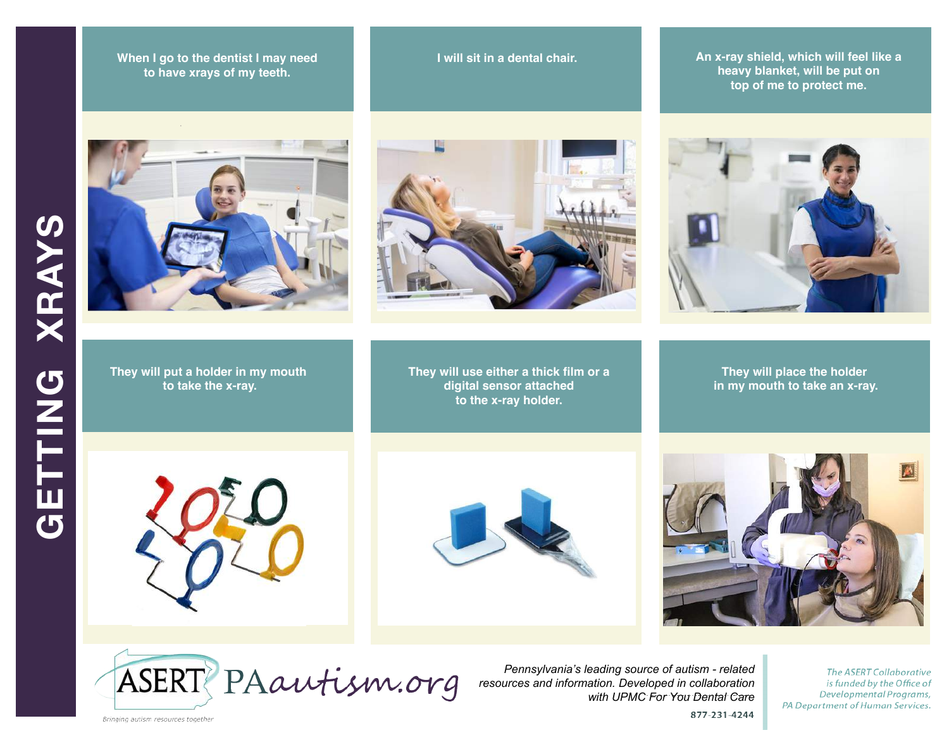**There I go to the dentist I may need to have xrays of my teeth. to have xrays of my teeth.** 



**They will put a holder in my mouth to take the x-ray.**

**touch is four my safety is four my safety in a dental chair.**  $\blacksquare$ 

**They will use either a thick film or a digital sensor attached to the x-ray holder.**

**An x-ray shield, which will feel like a heavy blanket, will be put on top of me to protect me.**



**They will place the holder in my mouth to take an x-ray.**









*Pennsylvania's leading source of autism - related resources and information. Developed in collaboration with UPMC For You Dental Care* 877-231-4244

**The ASERT Collaborative** is funded by the Office of Developmental Programs, PA Department of Human Services.

**GETTING XRAYS**  GETTING

**XRAYS** 

Bringing autism resources together